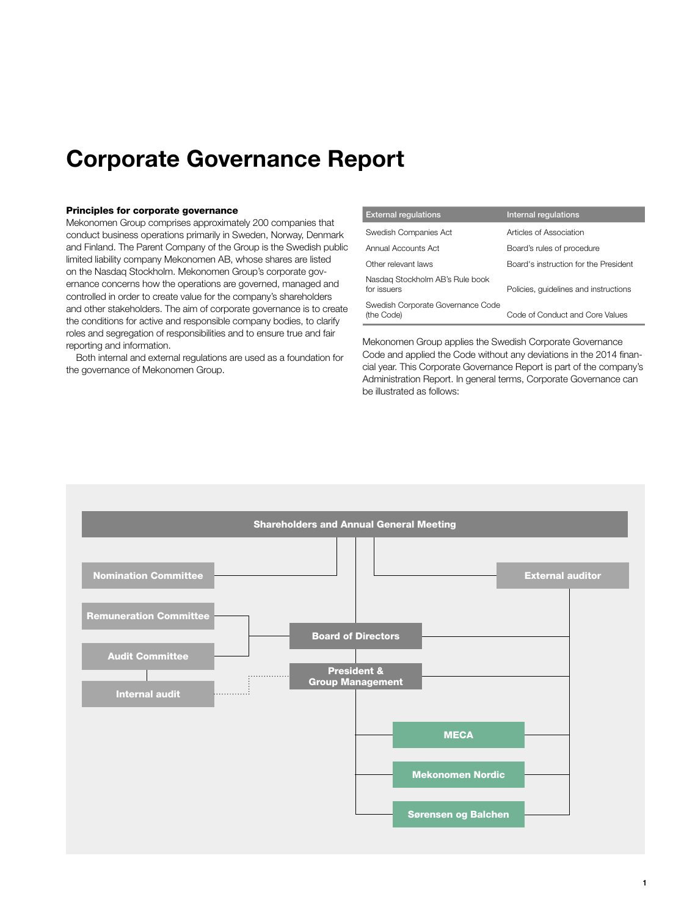# **Corporate Governance Report**

# Principles for corporate governance

Mekonomen Group comprises approximately 200 companies that conduct business operations primarily in Sweden, Norway, Denmark and Finland. The Parent Company of the Group is the Swedish public limited liability company Mekonomen AB, whose shares are listed on the Nasdaq Stockholm. Mekonomen Group's corporate governance concerns how the operations are governed, managed and controlled in order to create value for the company's shareholders and other stakeholders. The aim of corporate governance is to create the conditions for active and responsible company bodies, to clarify roles and segregation of responsibilities and to ensure true and fair reporting and information.

Both internal and external regulations are used as a foundation for the governance of Mekonomen Group.

| <b>External regulations</b>                     | Internal regulations                  |
|-------------------------------------------------|---------------------------------------|
| Swedish Companies Act                           | Articles of Association               |
| Annual Accounts Act                             | Board's rules of procedure            |
| Other relevant laws                             | Board's instruction for the President |
| Nasdag Stockholm AB's Rule book<br>for issuers  | Policies, quidelines and instructions |
| Swedish Corporate Governance Code<br>(the Code) | Code of Conduct and Core Values       |

Mekonomen Group applies the Swedish Corporate Governance Code and applied the Code without any deviations in the 2014 financial year. This Corporate Governance Report is part of the company's Administration Report. In general terms, Corporate Governance can be illustrated as follows:

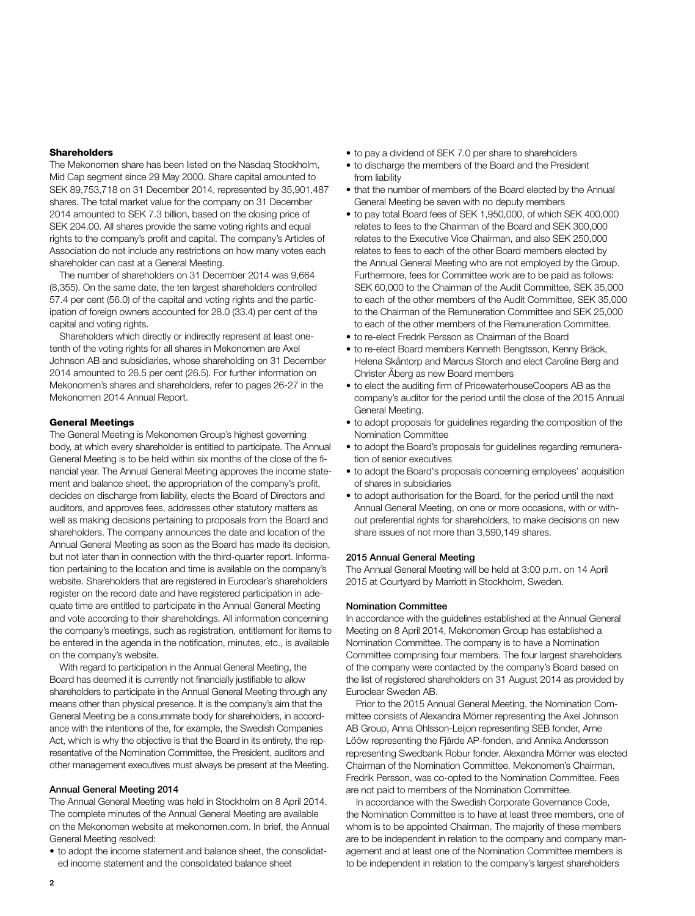## **Shareholders**

The Mekonomen share has been listed on the Nasdaq Stockholm, Mid Cap segment since 29 May 2000. Share capital amounted to SEK 89,753,718 on 31 December 2014, represented by 35,901,487 shares. The total market value for the company on 31 December 2014 amounted to SEK 7.3 billion, based on the closing price of SEK 204.00. All shares provide the same voting rights and equal rights to the company's profit and capital. The company's Articles of Association do not include any restrictions on how many votes each shareholder can cast at a General Meeting.

The number of shareholders on 31 December 2014 was 9,664 (8,355). On the same date, the ten largest shareholders controlled 57.4 per cent (56.0) of the capital and voting rights and the participation of foreign owners accounted for 28.0 (33.4) per cent of the capital and voting rights.

Shareholders which directly or indirectly represent at least onetenth of the voting rights for all shares in Mekonomen are Axel Johnson AB and subsidiaries, whose shareholding on 31 December 2014 amounted to 26.5 per cent (26.5). For further information on Mekonomen's shares and shareholders, refer to pages 26-27 in the Mekonomen 2014 Annual Report.

## General Meetings

The General Meeting is Mekonomen Group's highest governing body, at which every shareholder is entitled to participate. The Annual General Meeting is to be held within six months of the close of the financial year. The Annual General Meeting approves the income statement and balance sheet, the appropriation of the company's profit, decides on discharge from liability, elects the Board of Directors and auditors, and approves fees, addresses other statutory matters as well as making decisions pertaining to proposals from the Board and shareholders. The company announces the date and location of the Annual General Meeting as soon as the Board has made its decision, but not later than in connection with the third-quarter report. Information pertaining to the location and time is available on the company's website. Shareholders that are registered in Euroclear's shareholders register on the record date and have registered participation in adequate time are entitled to participate in the Annual General Meeting and vote according to their shareholdings. All information concerning the company's meetings, such as registration, entitlement for items to be entered in the agenda in the notification, minutes, etc., is available on the company's website.

With regard to participation in the Annual General Meeting, the Board has deemed it is currently not financially justifiable to allow shareholders to participate in the Annual General Meeting through any means other than physical presence. It is the company's aim that the General Meeting be a consummate body for shareholders, in accordance with the intentions of the, for example, the Swedish Companies Act, which is why the objective is that the Board in its entirety, the representative of the Nomination Committee, the President, auditors and other management executives must always be present at the Meeting.

## Annual General Meeting 2014

The Annual General Meeting was held in Stockholm on 8 April 2014. The complete minutes of the Annual General Meeting are available on the Mekonomen website at mekonomen.com. In brief, the Annual General Meeting resolved:

• to adopt the income statement and balance sheet, the consolidated income statement and the consolidated balance sheet

- to pay a dividend of SEK 7.0 per share to shareholders
- to discharge the members of the Board and the President from liability
- that the number of members of the Board elected by the Annual General Meeting be seven with no deputy members
- to pay total Board fees of SEK 1,950,000, of which SEK 400,000 relates to fees to the Chairman of the Board and SEK 300,000 relates to the Executive Vice Chairman, and also SEK 250,000 relates to fees to each of the other Board members elected by the Annual General Meeting who are not employed by the Group. Furthermore, fees for Committee work are to be paid as follows: SEK 60,000 to the Chairman of the Audit Committee, SEK 35,000 to each of the other members of the Audit Committee, SEK 35,000 to the Chairman of the Remuneration Committee and SEK 25,000 to each of the other members of the Remuneration Committee.
- to re-elect Fredrik Persson as Chairman of the Board
- to re-elect Board members Kenneth Bengtsson, Kenny Bräck, Helena Skåntorp and Marcus Storch and elect Caroline Berg and Christer Åberg as new Board members
- to elect the auditing firm of PricewaterhouseCoopers AB as the company's auditor for the period until the close of the 2015 Annual General Meeting.
- to adopt proposals for guidelines regarding the composition of the Nomination Committee
- to adopt the Board's proposals for guidelines regarding remuneration of senior executives
- to adopt the Board's proposals concerning employees' acquisition of shares in subsidiaries
- to adopt authorisation for the Board, for the period until the next Annual General Meeting, on one or more occasions, with or without preferential rights for shareholders, to make decisions on new share issues of not more than 3,590,149 shares.

## 2015 Annual General Meeting

The Annual General Meeting will be held at 3:00 p.m. on 14 April 2015 at Courtyard by Marriott in Stockholm, Sweden.

#### Nomination Committee

In accordance with the guidelines established at the Annual General Meeting on 8 April 2014, Mekonomen Group has established a Nomination Committee. The company is to have a Nomination Committee comprising four members. The four largest shareholders of the company were contacted by the company's Board based on the list of registered shareholders on 31 August 2014 as provided by Euroclear Sweden AB.

Prior to the 2015 Annual General Meeting, the Nomination Committee consists of Alexandra Mörner representing the Axel Johnson AB Group, Anna Ohlsson-Leijon representing SEB fonder, Arne Lööw representing the Fjärde AP-fonden, and Annika Andersson representing Swedbank Robur fonder. Alexandra Mörner was elected Chairman of the Nomination Committee. Mekonomen's Chairman, Fredrik Persson, was co-opted to the Nomination Committee. Fees are not paid to members of the Nomination Committee.

In accordance with the Swedish Corporate Governance Code, the Nomination Committee is to have at least three members, one of whom is to be appointed Chairman. The majority of these members are to be independent in relation to the company and company management and at least one of the Nomination Committee members is to be independent in relation to the company's largest shareholders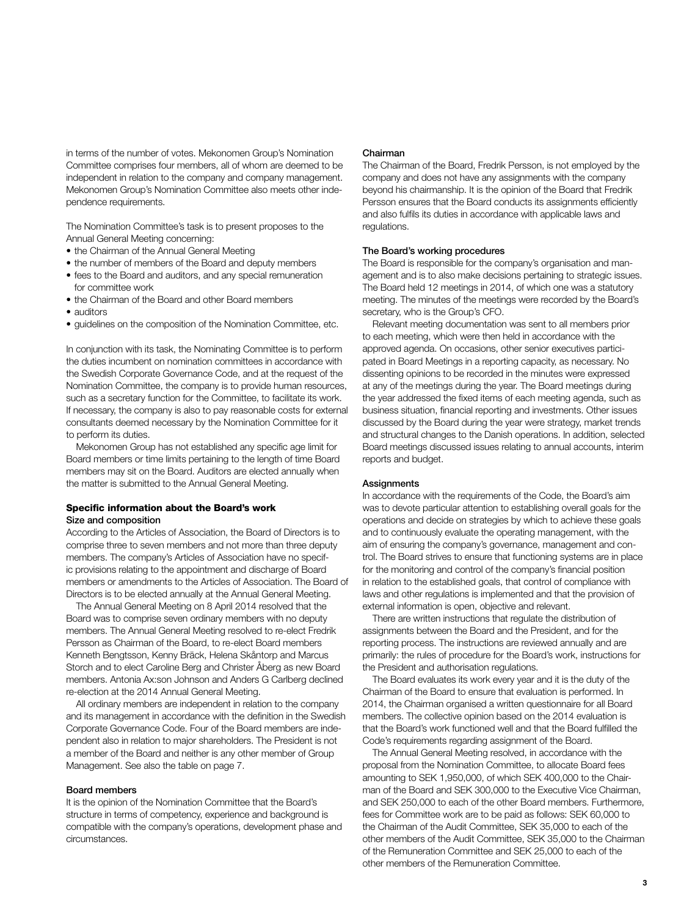in terms of the number of votes. Mekonomen Group's Nomination Committee comprises four members, all of whom are deemed to be independent in relation to the company and company management. Mekonomen Group's Nomination Committee also meets other independence requirements.

The Nomination Committee's task is to present proposes to the Annual General Meeting concerning:

- the Chairman of the Annual General Meeting
- the number of members of the Board and deputy members
- fees to the Board and auditors, and any special remuneration for committee work
- the Chairman of the Board and other Board members
- auditors
- guidelines on the composition of the Nomination Committee, etc.

In conjunction with its task, the Nominating Committee is to perform the duties incumbent on nomination committees in accordance with the Swedish Corporate Governance Code, and at the request of the Nomination Committee, the company is to provide human resources, such as a secretary function for the Committee, to facilitate its work. If necessary, the company is also to pay reasonable costs for external consultants deemed necessary by the Nomination Committee for it to perform its duties.

Mekonomen Group has not established any specific age limit for Board members or time limits pertaining to the length of time Board members may sit on the Board. Auditors are elected annually when the matter is submitted to the Annual General Meeting.

# Specific information about the Board's work Size and composition

According to the Articles of Association, the Board of Directors is to comprise three to seven members and not more than three deputy members. The company's Articles of Association have no specific provisions relating to the appointment and discharge of Board members or amendments to the Articles of Association. The Board of Directors is to be elected annually at the Annual General Meeting.

The Annual General Meeting on 8 April 2014 resolved that the Board was to comprise seven ordinary members with no deputy members. The Annual General Meeting resolved to re-elect Fredrik Persson as Chairman of the Board, to re-elect Board members Kenneth Bengtsson, Kenny Bräck, Helena Skåntorp and Marcus Storch and to elect Caroline Berg and Christer Åberg as new Board members. Antonia Ax:son Johnson and Anders G Carlberg declined re-election at the 2014 Annual General Meeting.

All ordinary members are independent in relation to the company and its management in accordance with the definition in the Swedish Corporate Governance Code. Four of the Board members are independent also in relation to major shareholders. The President is not a member of the Board and neither is any other member of Group Management. See also the table on page 7.

## Board members

It is the opinion of the Nomination Committee that the Board's structure in terms of competency, experience and background is compatible with the company's operations, development phase and circumstances.

## Chairman

The Chairman of the Board, Fredrik Persson, is not employed by the company and does not have any assignments with the company beyond his chairmanship. It is the opinion of the Board that Fredrik Persson ensures that the Board conducts its assignments efficiently and also fulfils its duties in accordance with applicable laws and regulations.

# The Board's working procedures

The Board is responsible for the company's organisation and management and is to also make decisions pertaining to strategic issues. The Board held 12 meetings in 2014, of which one was a statutory meeting. The minutes of the meetings were recorded by the Board's secretary, who is the Group's CFO.

Relevant meeting documentation was sent to all members prior to each meeting, which were then held in accordance with the approved agenda. On occasions, other senior executives participated in Board Meetings in a reporting capacity, as necessary. No dissenting opinions to be recorded in the minutes were expressed at any of the meetings during the year. The Board meetings during the year addressed the fixed items of each meeting agenda, such as business situation, financial reporting and investments. Other issues discussed by the Board during the year were strategy, market trends and structural changes to the Danish operations. In addition, selected Board meetings discussed issues relating to annual accounts, interim reports and budget.

## **Assignments**

In accordance with the requirements of the Code, the Board's aim was to devote particular attention to establishing overall goals for the operations and decide on strategies by which to achieve these goals and to continuously evaluate the operating management, with the aim of ensuring the company's governance, management and control. The Board strives to ensure that functioning systems are in place for the monitoring and control of the company's financial position in relation to the established goals, that control of compliance with laws and other regulations is implemented and that the provision of external information is open, objective and relevant.

There are written instructions that regulate the distribution of assignments between the Board and the President, and for the reporting process. The instructions are reviewed annually and are primarily: the rules of procedure for the Board's work, instructions for the President and authorisation regulations.

The Board evaluates its work every year and it is the duty of the Chairman of the Board to ensure that evaluation is performed. In 2014, the Chairman organised a written questionnaire for all Board members. The collective opinion based on the 2014 evaluation is that the Board's work functioned well and that the Board fulfilled the Code's requirements regarding assignment of the Board.

The Annual General Meeting resolved, in accordance with the proposal from the Nomination Committee, to allocate Board fees amounting to SEK 1,950,000, of which SEK 400,000 to the Chairman of the Board and SEK 300,000 to the Executive Vice Chairman, and SEK 250,000 to each of the other Board members. Furthermore, fees for Committee work are to be paid as follows: SEK 60,000 to the Chairman of the Audit Committee, SEK 35,000 to each of the other members of the Audit Committee, SEK 35,000 to the Chairman of the Remuneration Committee and SEK 25,000 to each of the other members of the Remuneration Committee.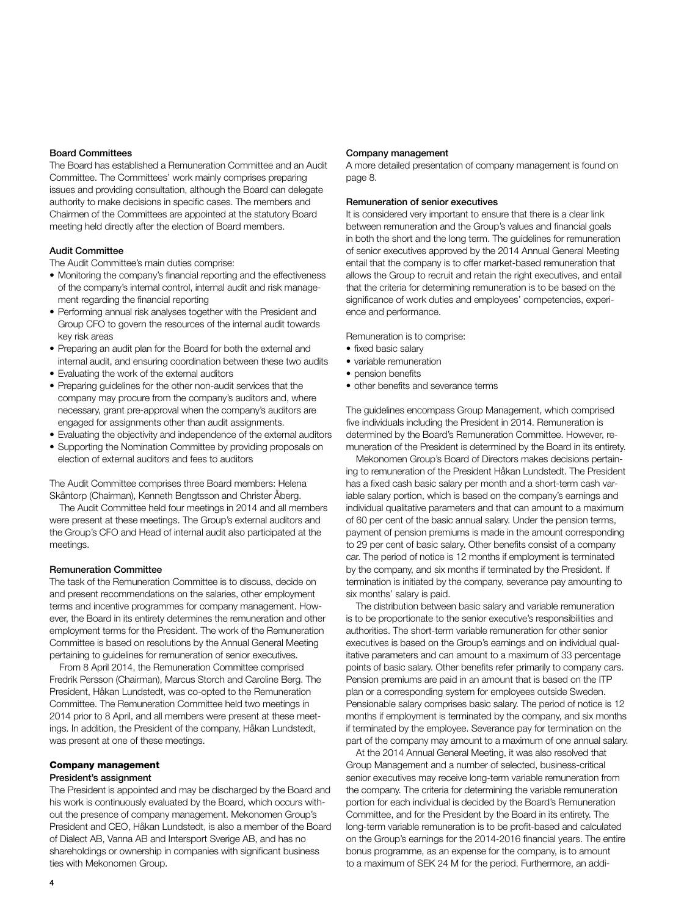# Board Committees

The Board has established a Remuneration Committee and an Audit Committee. The Committees' work mainly comprises preparing issues and providing consultation, although the Board can delegate authority to make decisions in specific cases. The members and Chairmen of the Committees are appointed at the statutory Board meeting held directly after the election of Board members.

# Audit Committee

The Audit Committee's main duties comprise:

- Monitoring the company's financial reporting and the effectiveness of the company's internal control, internal audit and risk management regarding the financial reporting
- Performing annual risk analyses together with the President and Group CFO to govern the resources of the internal audit towards key risk areas
- Preparing an audit plan for the Board for both the external and internal audit, and ensuring coordination between these two audits
- Evaluating the work of the external auditors
- Preparing guidelines for the other non-audit services that the company may procure from the company's auditors and, where necessary, grant pre-approval when the company's auditors are engaged for assignments other than audit assignments.
- Evaluating the objectivity and independence of the external auditors
- Supporting the Nomination Committee by providing proposals on election of external auditors and fees to auditors

The Audit Committee comprises three Board members: Helena Skåntorp (Chairman), Kenneth Bengtsson and Christer Åberg.

The Audit Committee held four meetings in 2014 and all members were present at these meetings. The Group's external auditors and the Group's CFO and Head of internal audit also participated at the meetings.

## Remuneration Committee

The task of the Remuneration Committee is to discuss, decide on and present recommendations on the salaries, other employment terms and incentive programmes for company management. However, the Board in its entirety determines the remuneration and other employment terms for the President. The work of the Remuneration Committee is based on resolutions by the Annual General Meeting pertaining to guidelines for remuneration of senior executives.

From 8 April 2014, the Remuneration Committee comprised Fredrik Persson (Chairman), Marcus Storch and Caroline Berg. The President, Håkan Lundstedt, was co-opted to the Remuneration Committee. The Remuneration Committee held two meetings in 2014 prior to 8 April, and all members were present at these meetings. In addition, the President of the company, Håkan Lundstedt, was present at one of these meetings.

# Company management

# President's assignment

The President is appointed and may be discharged by the Board and his work is continuously evaluated by the Board, which occurs without the presence of company management. Mekonomen Group's President and CEO, Håkan Lundstedt, is also a member of the Board of Dialect AB, Vanna AB and Intersport Sverige AB, and has no shareholdings or ownership in companies with significant business ties with Mekonomen Group.

#### Company management

A more detailed presentation of company management is found on page 8.

# Remuneration of senior executives

It is considered very important to ensure that there is a clear link between remuneration and the Group's values and financial goals in both the short and the long term. The guidelines for remuneration of senior executives approved by the 2014 Annual General Meeting entail that the company is to offer market-based remuneration that allows the Group to recruit and retain the right executives, and entail that the criteria for determining remuneration is to be based on the significance of work duties and employees' competencies, experience and performance.

Remuneration is to comprise:

- fixed basic salary
- variable remuneration
- pension benefits
- other benefits and severance terms

The guidelines encompass Group Management, which comprised five individuals including the President in 2014. Remuneration is determined by the Board's Remuneration Committee. However, remuneration of the President is determined by the Board in its entirety.

Mekonomen Group's Board of Directors makes decisions pertaining to remuneration of the President Håkan Lundstedt. The President has a fixed cash basic salary per month and a short-term cash variable salary portion, which is based on the company's earnings and individual qualitative parameters and that can amount to a maximum of 60 per cent of the basic annual salary. Under the pension terms, payment of pension premiums is made in the amount corresponding to 29 per cent of basic salary. Other benefits consist of a company car. The period of notice is 12 months if employment is terminated by the company, and six months if terminated by the President. If termination is initiated by the company, severance pay amounting to six months' salary is paid.

The distribution between basic salary and variable remuneration is to be proportionate to the senior executive's responsibilities and authorities. The short-term variable remuneration for other senior executives is based on the Group's earnings and on individual qualitative parameters and can amount to a maximum of 33 percentage points of basic salary. Other benefits refer primarily to company cars. Pension premiums are paid in an amount that is based on the ITP plan or a corresponding system for employees outside Sweden. Pensionable salary comprises basic salary. The period of notice is 12 months if employment is terminated by the company, and six months if terminated by the employee. Severance pay for termination on the part of the company may amount to a maximum of one annual salary.

At the 2014 Annual General Meeting, it was also resolved that Group Management and a number of selected, business-critical senior executives may receive long-term variable remuneration from the company. The criteria for determining the variable remuneration portion for each individual is decided by the Board's Remuneration Committee, and for the President by the Board in its entirety. The long-term variable remuneration is to be profit-based and calculated on the Group's earnings for the 2014-2016 financial years. The entire bonus programme, as an expense for the company, is to amount to a maximum of SEK 24 M for the period. Furthermore, an addi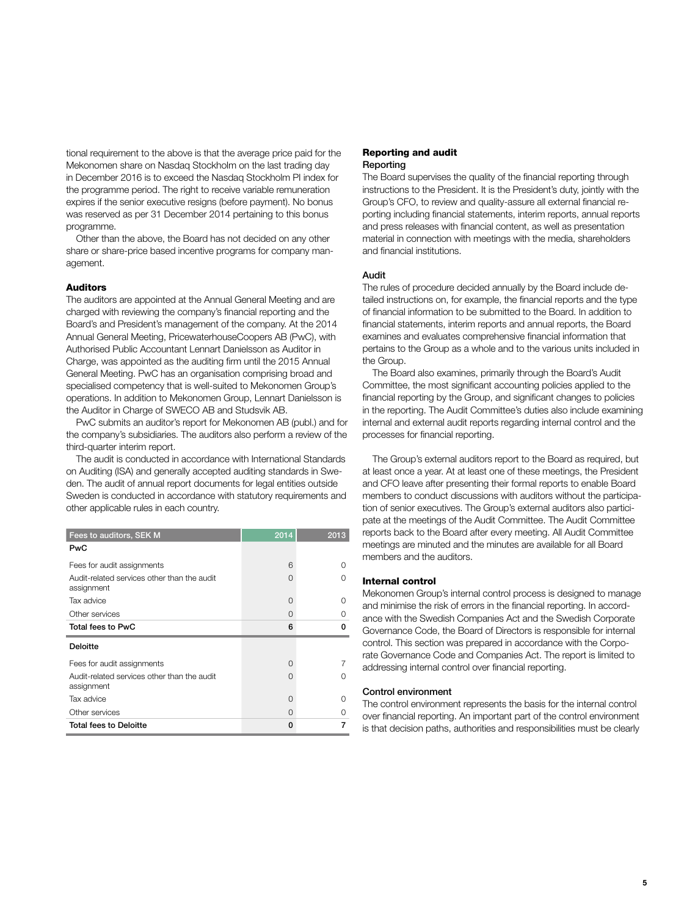tional requirement to the above is that the average price paid for the Mekonomen share on Nasdaq Stockholm on the last trading day in December 2016 is to exceed the Nasdaq Stockholm PI index for the programme period. The right to receive variable remuneration expires if the senior executive resigns (before payment). No bonus was reserved as per 31 December 2014 pertaining to this bonus programme.

Other than the above, the Board has not decided on any other share or share-price based incentive programs for company management.

# Auditors

The auditors are appointed at the Annual General Meeting and are charged with reviewing the company's financial reporting and the Board's and President's management of the company. At the 2014 Annual General Meeting, PricewaterhouseCoopers AB (PwC), with Authorised Public Accountant Lennart Danielsson as Auditor in Charge, was appointed as the auditing firm until the 2015 Annual General Meeting. PwC has an organisation comprising broad and specialised competency that is well-suited to Mekonomen Group's operations. In addition to Mekonomen Group, Lennart Danielsson is the Auditor in Charge of SWECO AB and Studsvik AB.

PwC submits an auditor's report for Mekonomen AB (publ.) and for the company's subsidiaries. The auditors also perform a review of the third-quarter interim report.

The audit is conducted in accordance with International Standards on Auditing (ISA) and generally accepted auditing standards in Sweden. The audit of annual report documents for legal entities outside Sweden is conducted in accordance with statutory requirements and other applicable rules in each country.

| Fees to auditors, SEK M                                   | 2014     | 2013 |
|-----------------------------------------------------------|----------|------|
| <b>PwC</b>                                                |          |      |
| Fees for audit assignments                                | 6        | Ω    |
| Audit-related services other than the audit<br>assignment | O        | Ω    |
| Tax advice                                                | O        | Ω    |
| Other services                                            | ∩        | Ω    |
| Total fees to PwC                                         | 6        | n    |
| <b>Deloitte</b>                                           |          |      |
| Fees for audit assignments                                | O        |      |
| Audit-related services other than the audit<br>assignment | Ω        | Ω    |
| Tax advice                                                | $\Omega$ | O    |
|                                                           |          | Ω    |
| Other services                                            | ∩        |      |

## Reporting and audit Reporting

The Board supervises the quality of the financial reporting through instructions to the President. It is the President's duty, jointly with the Group's CFO, to review and quality-assure all external financial reporting including financial statements, interim reports, annual reports and press releases with financial content, as well as presentation material in connection with meetings with the media, shareholders and financial institutions.

# Audit

The rules of procedure decided annually by the Board include detailed instructions on, for example, the financial reports and the type of financial information to be submitted to the Board. In addition to financial statements, interim reports and annual reports, the Board examines and evaluates comprehensive financial information that pertains to the Group as a whole and to the various units included in the Group.

The Board also examines, primarily through the Board's Audit Committee, the most significant accounting policies applied to the financial reporting by the Group, and significant changes to policies in the reporting. The Audit Committee's duties also include examining internal and external audit reports regarding internal control and the processes for financial reporting.

The Group's external auditors report to the Board as required, but at least once a year. At at least one of these meetings, the President and CFO leave after presenting their formal reports to enable Board members to conduct discussions with auditors without the participation of senior executives. The Group's external auditors also participate at the meetings of the Audit Committee. The Audit Committee reports back to the Board after every meeting. All Audit Committee meetings are minuted and the minutes are available for all Board members and the auditors.

### Internal control

Mekonomen Group's internal control process is designed to manage and minimise the risk of errors in the financial reporting. In accordance with the Swedish Companies Act and the Swedish Corporate Governance Code, the Board of Directors is responsible for internal control. This section was prepared in accordance with the Corporate Governance Code and Companies Act. The report is limited to addressing internal control over financial reporting.

#### Control environment

The control environment represents the basis for the internal control over financial reporting. An important part of the control environment is that decision paths, authorities and responsibilities must be clearly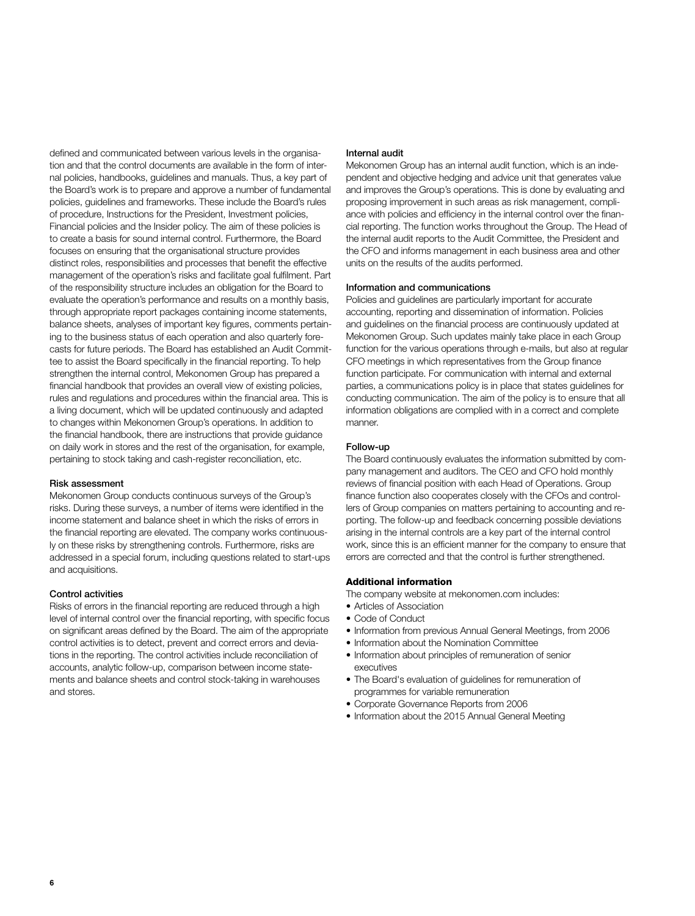defined and communicated between various levels in the organisation and that the control documents are available in the form of internal policies, handbooks, guidelines and manuals. Thus, a key part of the Board's work is to prepare and approve a number of fundamental policies, guidelines and frameworks. These include the Board's rules of procedure, Instructions for the President, Investment policies, Financial policies and the Insider policy. The aim of these policies is to create a basis for sound internal control. Furthermore, the Board focuses on ensuring that the organisational structure provides distinct roles, responsibilities and processes that benefit the effective management of the operation's risks and facilitate goal fulfilment. Part of the responsibility structure includes an obligation for the Board to evaluate the operation's performance and results on a monthly basis, through appropriate report packages containing income statements, balance sheets, analyses of important key figures, comments pertaining to the business status of each operation and also quarterly forecasts for future periods. The Board has established an Audit Committee to assist the Board specifically in the financial reporting. To help strengthen the internal control, Mekonomen Group has prepared a financial handbook that provides an overall view of existing policies, rules and regulations and procedures within the financial area. This is a living document, which will be updated continuously and adapted to changes within Mekonomen Group's operations. In addition to the financial handbook, there are instructions that provide guidance on daily work in stores and the rest of the organisation, for example, pertaining to stock taking and cash-register reconciliation, etc.

# Risk assessment

Mekonomen Group conducts continuous surveys of the Group's risks. During these surveys, a number of items were identified in the income statement and balance sheet in which the risks of errors in the financial reporting are elevated. The company works continuously on these risks by strengthening controls. Furthermore, risks are addressed in a special forum, including questions related to start-ups and acquisitions.

## Control activities

Risks of errors in the financial reporting are reduced through a high level of internal control over the financial reporting, with specific focus on significant areas defined by the Board. The aim of the appropriate control activities is to detect, prevent and correct errors and deviations in the reporting. The control activities include reconciliation of accounts, analytic follow-up, comparison between income statements and balance sheets and control stock-taking in warehouses and stores.

## Internal audit

Mekonomen Group has an internal audit function, which is an independent and objective hedging and advice unit that generates value and improves the Group's operations. This is done by evaluating and proposing improvement in such areas as risk management, compliance with policies and efficiency in the internal control over the financial reporting. The function works throughout the Group. The Head of the internal audit reports to the Audit Committee, the President and the CFO and informs management in each business area and other units on the results of the audits performed.

# Information and communications

Policies and guidelines are particularly important for accurate accounting, reporting and dissemination of information. Policies and guidelines on the financial process are continuously updated at Mekonomen Group. Such updates mainly take place in each Group function for the various operations through e-mails, but also at regular CFO meetings in which representatives from the Group finance function participate. For communication with internal and external parties, a communications policy is in place that states guidelines for conducting communication. The aim of the policy is to ensure that all information obligations are complied with in a correct and complete manner.

## Follow-up

The Board continuously evaluates the information submitted by company management and auditors. The CEO and CFO hold monthly reviews of financial position with each Head of Operations. Group finance function also cooperates closely with the CFOs and controllers of Group companies on matters pertaining to accounting and reporting. The follow-up and feedback concerning possible deviations arising in the internal controls are a key part of the internal control work, since this is an efficient manner for the company to ensure that errors are corrected and that the control is further strengthened.

### Additional information

The company website at mekonomen.com includes:

- Articles of Association
- Code of Conduct
- Information from previous Annual General Meetings, from 2006
- Information about the Nomination Committee
- Information about principles of remuneration of senior executives
- The Board's evaluation of guidelines for remuneration of programmes for variable remuneration
- Corporate Governance Reports from 2006
- Information about the 2015 Annual General Meeting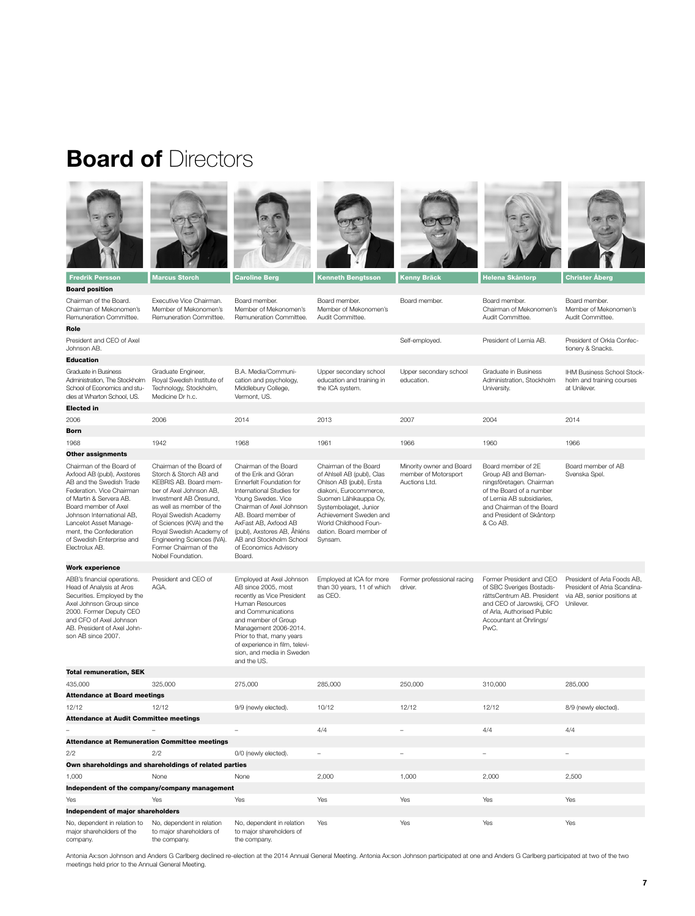# **Board of** Directors











Board member. Board member.





Board member.

Board position Chairman of the Board.

Executive Vice Chairman. Board member. Member of Mekonomen's Remuneration Committee.

Board member.

| Chairman of Mekonomen's<br>Remuneration Committee.                                                                                                                                                                                                                                                  | Member of Mekonomen's<br>Remuneration Committee.                                                                                                                                                                                                                                                                             | Member of Mekonomen's<br>Remuneration Committee.                                                                                                                                                                                                                                                      | Member of Mekonomen's<br>Audit Committee.                                                                                                                                                                                                           |                                                                   | Chairman of Mekonomen's<br>Audit Committee.                                                                                                                                                           | Member of Mekonomen's<br>Audit Committee.                                                               |  |  |
|-----------------------------------------------------------------------------------------------------------------------------------------------------------------------------------------------------------------------------------------------------------------------------------------------------|------------------------------------------------------------------------------------------------------------------------------------------------------------------------------------------------------------------------------------------------------------------------------------------------------------------------------|-------------------------------------------------------------------------------------------------------------------------------------------------------------------------------------------------------------------------------------------------------------------------------------------------------|-----------------------------------------------------------------------------------------------------------------------------------------------------------------------------------------------------------------------------------------------------|-------------------------------------------------------------------|-------------------------------------------------------------------------------------------------------------------------------------------------------------------------------------------------------|---------------------------------------------------------------------------------------------------------|--|--|
| Role                                                                                                                                                                                                                                                                                                |                                                                                                                                                                                                                                                                                                                              |                                                                                                                                                                                                                                                                                                       |                                                                                                                                                                                                                                                     |                                                                   |                                                                                                                                                                                                       |                                                                                                         |  |  |
| President and CEO of Axel<br>Johnson AB.                                                                                                                                                                                                                                                            |                                                                                                                                                                                                                                                                                                                              |                                                                                                                                                                                                                                                                                                       |                                                                                                                                                                                                                                                     | Self-employed.                                                    | President of Lernia AB.                                                                                                                                                                               | President of Orkla Confec-<br>tionery & Snacks.                                                         |  |  |
| <b>Education</b>                                                                                                                                                                                                                                                                                    |                                                                                                                                                                                                                                                                                                                              |                                                                                                                                                                                                                                                                                                       |                                                                                                                                                                                                                                                     |                                                                   |                                                                                                                                                                                                       |                                                                                                         |  |  |
| Graduate in Business<br>Administration, The Stockholm<br>School of Economics and stu-<br>dies at Wharton School, US.                                                                                                                                                                                | Graduate Engineer,<br>Royal Swedish Institute of<br>Technology, Stockholm,<br>Medicine Dr h.c.                                                                                                                                                                                                                               | B.A. Media/Communi-<br>cation and psychology,<br>Middlebury College,<br>Vermont, US.                                                                                                                                                                                                                  | Upper secondary school<br>education and training in<br>the ICA system.                                                                                                                                                                              | Upper secondary school<br>education.                              | Graduate in Business<br>Administration, Stockholm<br>University.                                                                                                                                      | IHM Business School Stock-<br>holm and training courses<br>at Unilever.                                 |  |  |
| <b>Elected in</b>                                                                                                                                                                                                                                                                                   |                                                                                                                                                                                                                                                                                                                              |                                                                                                                                                                                                                                                                                                       |                                                                                                                                                                                                                                                     |                                                                   |                                                                                                                                                                                                       |                                                                                                         |  |  |
| 2006                                                                                                                                                                                                                                                                                                | 2006                                                                                                                                                                                                                                                                                                                         | 2014                                                                                                                                                                                                                                                                                                  | 2013                                                                                                                                                                                                                                                | 2007                                                              | 2004                                                                                                                                                                                                  | 2014                                                                                                    |  |  |
| <b>Born</b>                                                                                                                                                                                                                                                                                         |                                                                                                                                                                                                                                                                                                                              |                                                                                                                                                                                                                                                                                                       |                                                                                                                                                                                                                                                     |                                                                   |                                                                                                                                                                                                       |                                                                                                         |  |  |
| 1968                                                                                                                                                                                                                                                                                                | 1942                                                                                                                                                                                                                                                                                                                         | 1968                                                                                                                                                                                                                                                                                                  | 1961                                                                                                                                                                                                                                                | 1966                                                              | 1960                                                                                                                                                                                                  | 1966                                                                                                    |  |  |
| <b>Other assignments</b>                                                                                                                                                                                                                                                                            |                                                                                                                                                                                                                                                                                                                              |                                                                                                                                                                                                                                                                                                       |                                                                                                                                                                                                                                                     |                                                                   |                                                                                                                                                                                                       |                                                                                                         |  |  |
| Chairman of the Board of<br>Axfood AB (publ), Axstores<br>AB and the Swedish Trade<br>Federation. Vice Chairman<br>of Martin & Servera AB.<br>Board member of Axel<br>Johnson International AB,<br>Lancelot Asset Manage-<br>ment, the Confederation<br>of Swedish Enterprise and<br>Electrolux AB. | Chairman of the Board of<br>Storch & Storch AB and<br>KEBRIS AB. Board mem-<br>ber of Axel Johnson AB,<br>Investment AB Öresund,<br>as well as member of the<br>Royal Swedish Academy<br>of Sciences (KVA) and the<br>Royal Swedish Academy of<br>Engineering Sciences (IVA).<br>Former Chairman of the<br>Nobel Foundation. | Chairman of the Board<br>of the Erik and Göran<br>Ennerfelt Foundation for<br>International Studies for<br>Young Swedes. Vice<br>Chairman of Axel Johnson<br>AB. Board member of<br>AxFast AB, Axfood AB<br>(publ), Axstores AB, Ahléns<br>AB and Stockholm School<br>of Economics Advisory<br>Board. | Chairman of the Board<br>of Ahlsell AB (publ), Clas<br>Ohlson AB (publ), Ersta<br>diakoni, Eurocommerce,<br>Suomen Lähikauppa Oy,<br>Systembolaget, Junior<br>Achievement Sweden and<br>World Childhood Foun-<br>dation. Board member of<br>Synsam. | Minority owner and Board<br>member of Motorsport<br>Auctions Ltd. | Board member of 2E<br>Group AB and Beman-<br>ningsföretagen. Chairman<br>of the Board of a number<br>of Lernia AB subsidiaries,<br>and Chairman of the Board<br>and President of Skåntorp<br>& Co AB. | Board member of AB<br>Svenska Spel.                                                                     |  |  |
| <b>Work experience</b>                                                                                                                                                                                                                                                                              |                                                                                                                                                                                                                                                                                                                              |                                                                                                                                                                                                                                                                                                       |                                                                                                                                                                                                                                                     |                                                                   |                                                                                                                                                                                                       |                                                                                                         |  |  |
| ABB's financial operations.<br>Head of Analysis at Aros<br>Securities. Employed by the<br>Axel Johnson Group since<br>2000. Former Deputy CEO<br>and CFO of Axel Johnson<br>AB. President of Axel John-<br>son AB since 2007.                                                                       | President and CEO of<br>AGA.                                                                                                                                                                                                                                                                                                 | Employed at Axel Johnson<br>AB since 2005, most<br>recently as Vice President<br>Human Resources<br>and Communications<br>and member of Group<br>Management 2006-2014.<br>Prior to that, many years<br>of experience in film, televi-<br>sion, and media in Sweden<br>and the US.                     | Employed at ICA for more<br>than 30 years, 11 of which<br>as CEO.                                                                                                                                                                                   | Former professional racing<br>driver.                             | Former President and CEO<br>of SBC Sveriges Bostads-<br>rättsCentrum AB. President<br>and CEO of Jarowskij, CFO<br>of Arla, Authorised Public<br>Accountant at Öhrlings/<br>PwC.                      | President of Arla Foods AB,<br>President of Atria Scandina-<br>via AB, senior positions at<br>Unilever. |  |  |
| <b>Total remuneration, SEK</b>                                                                                                                                                                                                                                                                      |                                                                                                                                                                                                                                                                                                                              |                                                                                                                                                                                                                                                                                                       |                                                                                                                                                                                                                                                     |                                                                   |                                                                                                                                                                                                       |                                                                                                         |  |  |
| 435.000                                                                                                                                                                                                                                                                                             | 325,000                                                                                                                                                                                                                                                                                                                      | 275,000                                                                                                                                                                                                                                                                                               | 285.000                                                                                                                                                                                                                                             | 250,000                                                           | 310,000                                                                                                                                                                                               | 285.000                                                                                                 |  |  |
| <b>Attendance at Board meetings</b>                                                                                                                                                                                                                                                                 |                                                                                                                                                                                                                                                                                                                              |                                                                                                                                                                                                                                                                                                       |                                                                                                                                                                                                                                                     |                                                                   |                                                                                                                                                                                                       |                                                                                                         |  |  |
| 12/12                                                                                                                                                                                                                                                                                               | 12/12                                                                                                                                                                                                                                                                                                                        | 9/9 (newly elected).                                                                                                                                                                                                                                                                                  | 10/12                                                                                                                                                                                                                                               | 12/12                                                             | 12/12                                                                                                                                                                                                 | 8/9 (newly elected).                                                                                    |  |  |
| <b>Attendance at Audit Committee meetings</b>                                                                                                                                                                                                                                                       |                                                                                                                                                                                                                                                                                                                              |                                                                                                                                                                                                                                                                                                       |                                                                                                                                                                                                                                                     |                                                                   |                                                                                                                                                                                                       |                                                                                                         |  |  |
|                                                                                                                                                                                                                                                                                                     |                                                                                                                                                                                                                                                                                                                              |                                                                                                                                                                                                                                                                                                       | 4/4                                                                                                                                                                                                                                                 |                                                                   | 4/4                                                                                                                                                                                                   | 4/4                                                                                                     |  |  |
| <b>Attendance at Remuneration Committee meetings</b>                                                                                                                                                                                                                                                |                                                                                                                                                                                                                                                                                                                              |                                                                                                                                                                                                                                                                                                       |                                                                                                                                                                                                                                                     |                                                                   |                                                                                                                                                                                                       |                                                                                                         |  |  |
| 2/2                                                                                                                                                                                                                                                                                                 | 2/2                                                                                                                                                                                                                                                                                                                          | 0/0 (newly elected).                                                                                                                                                                                                                                                                                  | $\overline{\phantom{0}}$                                                                                                                                                                                                                            | ٠                                                                 | $\overline{a}$                                                                                                                                                                                        | ÷.                                                                                                      |  |  |
| Own shareholdings and shareholdings of related parties                                                                                                                                                                                                                                              |                                                                                                                                                                                                                                                                                                                              |                                                                                                                                                                                                                                                                                                       |                                                                                                                                                                                                                                                     |                                                                   |                                                                                                                                                                                                       |                                                                                                         |  |  |
| 1,000                                                                                                                                                                                                                                                                                               | None                                                                                                                                                                                                                                                                                                                         | None                                                                                                                                                                                                                                                                                                  | 2,000                                                                                                                                                                                                                                               | 1,000                                                             | 2,000                                                                                                                                                                                                 | 2,500                                                                                                   |  |  |
|                                                                                                                                                                                                                                                                                                     | Independent of the company/company management                                                                                                                                                                                                                                                                                |                                                                                                                                                                                                                                                                                                       |                                                                                                                                                                                                                                                     |                                                                   |                                                                                                                                                                                                       |                                                                                                         |  |  |
| Yes                                                                                                                                                                                                                                                                                                 | Yes                                                                                                                                                                                                                                                                                                                          | Yes                                                                                                                                                                                                                                                                                                   | Yes                                                                                                                                                                                                                                                 | Yes                                                               | Yes                                                                                                                                                                                                   | Yes                                                                                                     |  |  |
| Independent of major shareholders                                                                                                                                                                                                                                                                   |                                                                                                                                                                                                                                                                                                                              |                                                                                                                                                                                                                                                                                                       |                                                                                                                                                                                                                                                     |                                                                   |                                                                                                                                                                                                       |                                                                                                         |  |  |
| No, dependent in relation to<br>major shareholders of the<br>company.                                                                                                                                                                                                                               | No, dependent in relation<br>to major shareholders of<br>the company.                                                                                                                                                                                                                                                        | No, dependent in relation<br>to major shareholders of<br>the company.                                                                                                                                                                                                                                 | Yes                                                                                                                                                                                                                                                 | Yes                                                               | Yes                                                                                                                                                                                                   | Yes                                                                                                     |  |  |

Antonia Ax:son Johnson and Anders G Carlberg declined re-election at the 2014 Annual General Meeting. Antonia Ax:son Johnson participated at one and Anders G Carlberg participated at two of the two<br>meetings held prior to t